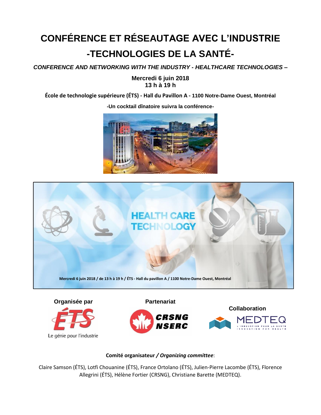## **CONFÉRENCE ET RÉSEAUTAGE AVEC L'INDUSTRIE -TECHNOLOGIES DE LA SANTÉ-**

*CONFERENCE AND NETWORKING WITH THE INDUSTRY - HEALTHCARE TECHNOLOGIES –*

## **Mercredi 6 juin 2018 13 h à 19 h**

**École de technologie supérieure (ÉTS) - Hall du Pavillon A - 1100 Notre-Dame Ouest, Montréal**



**-Un cocktail dînatoire suivra la conférence-**





Le génie pour l'industrie



**Collaboration**



## **Comité organisateur** */ Organizing committee*:

Claire Samson (ÉTS), Lotfi Chouanine (ÉTS), France Ortolano (ÉTS), Julien-Pierre Lacombe (ÉTS), Florence Allegrini (ÉTS), Hélène Fortier (CRSNG), Christiane Barette (MEDTEQ).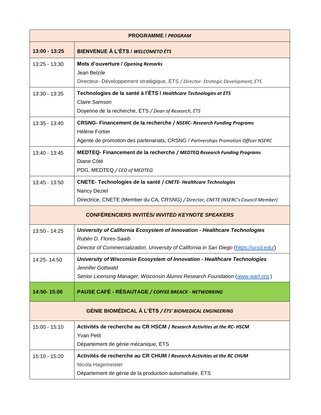| <b>PROGRAMME / PROGRAM</b>                             |                                                                                                                                                                                                 |  |
|--------------------------------------------------------|-------------------------------------------------------------------------------------------------------------------------------------------------------------------------------------------------|--|
| $13:00 - 13:25$                                        | BIENVENUE À L'ÉTS / WELCOMETO ÉTS                                                                                                                                                               |  |
| 13:25 - 13:30                                          | Mots d'ouverture / Opening Remarks<br>Jean Belzile<br>Directeur- Développement stratégique, ÉTS / Director- Strategic Development, ÉTS                                                          |  |
| 13:30 - 13:35                                          | Technologies de la santé à l'ÉTS / Healthcare Technologies at ETS<br><b>Claire Samson</b><br>Doyenne de la recherche, ÉTS / Dean of Research, ÉTS                                               |  |
| 13:35 - 13:40                                          | <b>CRSNG- Financement de la recherche / NSERC- Research Funding Programs</b><br>Hélène Fortier<br>Agente de promotion des partenariats, CRSNG / Partnerships Promotion Officer NSERC            |  |
| 13:40 - 13:45                                          | MEDTEQ- Financement de la recherche / MEDTEQ Research Funding Programs<br>Diane Côté<br>PDG, MEDTEQ / CEO of MEDTEQ                                                                             |  |
| 13:45 - 13:50                                          | <b>CNETE- Technologies de la santé / CNETE- Healthcare Technologies</b><br>Nancy Deziel<br>Directrice, CNETE (Member du CA, CRSNG) / Director, CNETE (NSERC's Council Member)                   |  |
| <b>CONFÉRENCIERS INVITÉS/INVITED KEYNOTE SPEAKERS</b>  |                                                                                                                                                                                                 |  |
| 13:50 - 14:25                                          | University of California Ecosystem of Innovation - Healthcare Technologies<br>Rubén D. Flores-Saaib<br>Director of Commercialization, University of California in San Diego (https://ucsd.edu/) |  |
| 14:25-14:50                                            | University of Wisconsin Ecosystem of Innovation - Healthcare Technologies<br>Jennifer Gottwald<br>Senior Licensing Manager, Wisconsin Alumni Research Foundation (www.warf.org)                 |  |
| 14:50-15:00                                            | PAUSE CAFÉ - RÉSAUTAGE / COFFEE BREACK - NETWORKING                                                                                                                                             |  |
| GÉNIE BIOMÉDICAL À L'ÉTS / ÉTS' BIOMEDICAL ENGINEERING |                                                                                                                                                                                                 |  |
| 15:00 - 15:10                                          | Activités de recherche au CR HSCM / Research Activities at the RC-HSCM<br><b>Yvan Petit</b><br>Département de génie mécanique, ÉTS                                                              |  |
| 15:10 - 15:20                                          | Activités de recherche au CR CHUM / Research Activities at the RC CHUM<br>Nicola Hagemeister<br>Département de génie de la production automatisée, ÉTS                                          |  |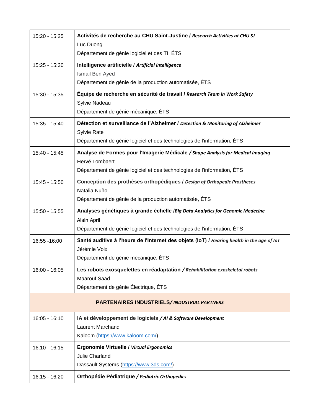| 15:20 - 15:25   | Activités de recherche au CHU Saint-Justine / Research Activities at CHU SJ                |
|-----------------|--------------------------------------------------------------------------------------------|
|                 | Luc Duong<br>Département de génie logiciel et des TI, ÉTS                                  |
| 15:25 - 15:30   | Intelligence artificielle / Artificial Intelligence                                        |
|                 | Ismail Ben Ayed                                                                            |
|                 | Département de génie de la production automatisée, ÉTS                                     |
| 15:30 - 15:35   | Équipe de recherche en sécurité de travail / Research Team in Work Safety                  |
|                 | Sylvie Nadeau<br>Département de génie mécanique, ÉTS                                       |
| 15:35 - 15:40   | Détection et surveillance de l'Alzheimer / Detection & Monitoring of Alzheimer             |
|                 | Sylvie Rate                                                                                |
|                 | Département de génie logiciel et des technologies de l'information, ÉTS                    |
| 15:40 - 15:45   | Analyse de Formes pour l'Imagerie Médicale / Shape Analysis for Medical Imaging            |
|                 | Hervé Lombaert<br>Département de génie logiciel et des technologies de l'information, ÉTS  |
| 15:45 - 15:50   | Conception des prothèses orthopédiques / Design of Orthopedic Prostheses                   |
|                 | Natalia Nuño                                                                               |
|                 | Département de génie de la production automatisée, ÉTS                                     |
|                 | Analyses génétiques à grande échelle /Big Data Analytics for Genomic Medecine              |
| 15:50 - 15:55   |                                                                                            |
|                 | Alain April                                                                                |
|                 | Département de génie logiciel et des technologies de l'information, ÉTS                    |
| 16:55 - 16:00   | Santé auditive à l'heure de l'Internet des objets (IoT) / Hearing health in the age of IoT |
|                 | Jérémie Voix<br>Département de génie mécanique, ÉTS                                        |
| 16:00 - 16:05   | Les robots exosquelettes en réadaptation / Rehabilitation exoskeletal robots               |
|                 | <b>Maarouf Saad</b>                                                                        |
|                 | Département de génie Électrique, ÉTS                                                       |
|                 | <b>PARTENAIRES INDUSTRIELS/INDUSTRIAL PARTNERS</b>                                         |
| $16:05 - 16:10$ | IA et développement de logiciels / AI & Software Development                               |
|                 | <b>Laurent Marchand</b>                                                                    |
|                 | Kaloom (https://www.kaloom.com/)                                                           |
| $16:10 - 16:15$ | <b>Ergonomie Virtuelle / Virtual Ergonomics</b>                                            |
|                 | Julie Charland<br>Dassault Systems (https://www.3ds.com/)                                  |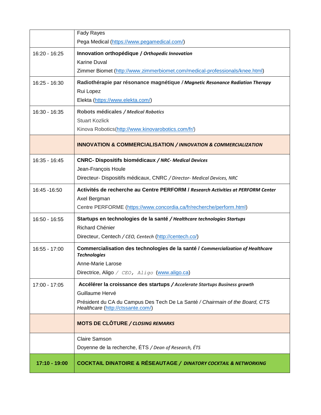|               | <b>Fady Rayes</b>                                                                                                 |
|---------------|-------------------------------------------------------------------------------------------------------------------|
|               | Pega Medical (https://www.pegamedical.com/)                                                                       |
| 16:20 - 16:25 | Innovation orthopédique / Orthopedic Innovation                                                                   |
|               | <b>Karine Duval</b>                                                                                               |
|               | Zimmer Biomet (http://www.zimmerbiomet.com/medical-professionals/knee.html)                                       |
| 16:25 - 16:30 | Radiothérapie par résonance magnétique / Magnetic Resonance Radiation Therapy                                     |
|               | Rui Lopez                                                                                                         |
|               | Elekta (https://www.elekta.com/)                                                                                  |
| 16:30 - 16:35 | Robots médicales / Medical Robotics                                                                               |
|               | <b>Stuart Kozlick</b>                                                                                             |
|               | Kinova Robotics(http://www.kinovarobotics.com/fr/)                                                                |
|               | <b>INNOVATION &amp; COMMERCIALISATION / INNOVATION &amp; COMMERCIALIZATION</b>                                    |
| 16:35 - 16:45 | <b>CNRC- Dispositifs biomédicaux / NRC- Medical Devices</b>                                                       |
|               | Jean-François Houle                                                                                               |
|               | Directeur- Dispositifs médicaux, CNRC / Director- Medical Devices, NRC                                            |
| 16:45 - 16:50 | Activités de recherche au Centre PERFORM / Research Activities at PERFORM Center                                  |
|               | Axel Bergman                                                                                                      |
|               | Centre PERFORME (https://www.concordia.ca/fr/recherche/perform.html)                                              |
| 16:50 - 16:55 | Startups en technologies de la santé / Healthcare technologies Startups                                           |
|               | Richard Chénier                                                                                                   |
|               | Directeur, Centech / CEO, Centech (http://centech.co/)                                                            |
| 16:55 - 17:00 | Commercialisation des technologies de la santé / Commercialization of Healthcare<br><b>Technologies</b>           |
|               | Anne-Marie Larose                                                                                                 |
|               | Directrice, Aligo / CEO, Aligo (www.aligo.ca)                                                                     |
| 17:00 - 17:05 | Accélérer la croissance des startups / Accelerate Startups Business growth                                        |
|               | Guillaume Hervé                                                                                                   |
|               | Président du CA du Campus Des Tech De La Santé / Chairmain of the Board, CTS<br>Healthcare (http://ctssante.com/) |
|               | <b>MOTS DE CLÔTURE / CLOSING REMARKS</b>                                                                          |
|               | <b>Claire Samson</b>                                                                                              |
|               | Doyenne de la recherche, ÉTS / Dean of Research, ÉTS                                                              |
| 17:10 - 19:00 | <b>COCKTAIL DINATOIRE &amp; RÉSEAUTAGE / DINATORY COCKTAIL &amp; NETWORKING</b>                                   |